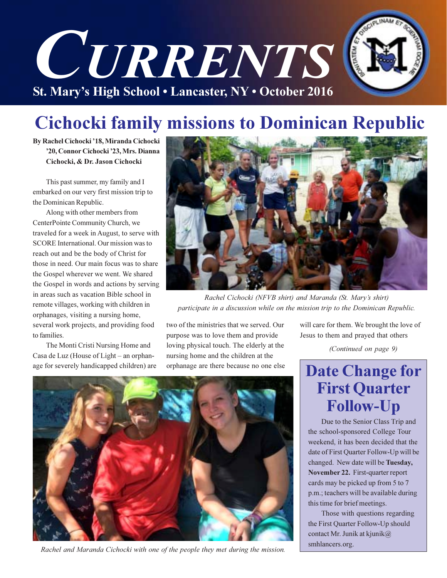

## **Cichocki family missions to Dominican Republic**

By Rachel Cichocki '18, Miranda Cichocki '20, Connor Cichocki '23, Mrs. Dianna Cichocki, & Dr. Jason Cichocki

This past summer, my family and I embarked on our very first mission trip to the Dominican Republic.

Along with other members from CenterPointe Community Church, we traveled for a week in August, to serve with SCORE International. Our mission was to reach out and be the body of Christ for those in need. Our main focus was to share the Gospel wherever we went. We shared the Gospel in words and actions by serving in areas such as vacation Bible school in remote villages, working with children in orphanages, visiting a nursing home, several work projects, and providing food to families.

The Monti Cristi Nursing Home and Casa de Luz (House of Light - an orphanage for severely handicapped children) are



Rachel Cichocki (NFVB shirt) and Maranda (St. Mary's shirt) participate in a discussion while on the mission trip to the Dominican Republic.

two of the ministries that we served. Our purpose was to love them and provide loving physical touch. The elderly at the nursing home and the children at the orphanage are there because no one else



Rachel and Maranda Cichocki with one of the people they met during the mission.

will care for them. We brought the love of Jesus to them and prayed that others

(Continued on page 9)

## **Date Change for First Quarter Follow-Up**

Due to the Senior Class Trip and the school-sponsored College Tour weekend, it has been decided that the date of First Quarter Follow-Up will be changed. New date will be Tuesday, November 22. First-quarter report cards may be picked up from 5 to 7 p.m.; teachers will be available during this time for brief meetings.

Those with questions regarding the First Quarter Follow-Up should contact Mr. Junik at kjunik@ smhlancers.org.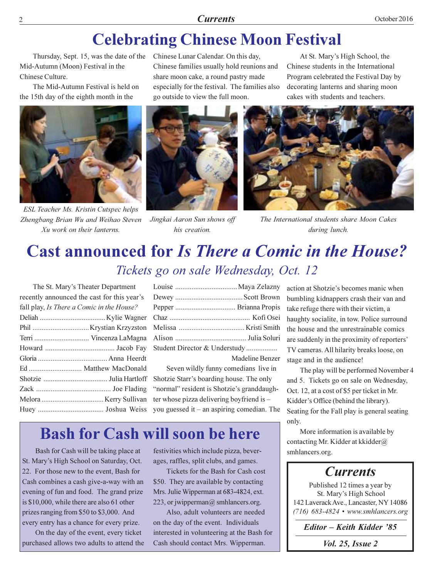#### **Currents**

## **Celebrating Chinese Moon Festival**

Thursday, Sept. 15, was the date of the Mid-Autumn (Moon) Festival in the Chinese Culture.

The Mid-Autumn Festival is held on the 15th day of the eighth month in the



ESL Teacher Ms. Kristin Cutspec helps Zhengbang Brian Wu and Weihao Steven Xu work on their lanterns.

Chinese Lunar Calendar. On this day, Chinese families usually hold reunions and share moon cake, a round pastry made especially for the festival. The families also go outside to view the full moon.



Jingkai Aaron Sun shows off his creation.

At St. Mary's High School, the Chinese students in the International Program celebrated the Festival Day by decorating lanterns and sharing moon cakes with students and teachers.



The International students share Moon Cakes during lunch.

## **Cast announced for Is There a Comic in the House?** Tickets go on sale Wednesday, Oct. 12

The St. Mary's Theater Department recently announced the cast for this year's fall play, Is There a Comic in the House? Terri .................................. Vincenza LaMagna 

| Student Director & Understudy |
|-------------------------------|
| <b>Madeline Benzer</b>        |

Seven wildly funny comedians live in Shotzie Starr's boarding house. The only "normal" resident is Shotzie's granddaughter whose pizza delivering boyfriend is you guessed it – an aspiring comedian. The

### **Bash for Cash will soon be here**

Bash for Cash will be taking place at St. Mary's High School on Saturday, Oct. 22. For those new to the event, Bash for Cash combines a cash give-a-way with an evening of fun and food. The grand prize is \$10,000, while there are also 61 other prizes ranging from \$50 to \$3,000. And every entry has a chance for every prize.

On the day of the event, every ticket purchased allows two adults to attend the festivities which include pizza, beverages, raffles, split clubs, and games.

Tickets for the Bash for Cash cost \$50. They are available by contacting Mrs. Julie Wipperman at 683-4824, ext. 223, or jwipperman@ smhlancers.org.

Also, adult volunteers are needed on the day of the event. Individuals interested in volunteering at the Bash for Cash should contact Mrs. Wipperman.

action at Shotzie's becomes manic when bumbling kidnappers crash their van and take refuge there with their victim, a haughty socialite, in tow. Police surround the house and the unrestrainable comics are suddenly in the proximity of reporters' TV cameras. All hilarity breaks loose, on stage and in the audience!

The play will be performed November 4 and 5. Tickets go on sale on Wednesday, Oct. 12, at a cost of \$5 per ticket in Mr. Kidder's Office (behind the library). Seating for the Fall play is general seating only.

More information is available by contacting Mr. Kidder at kkidder@ smhlancers.org.

### **Currents**

Published 12 times a year by St. Mary's High School 142 Laverack Ave., Lancaster, NY 14086  $(716)$  683-4824 • www.smhlancers.org

Editor - Keith Kidder '85

*Vol. 25, Issue 2*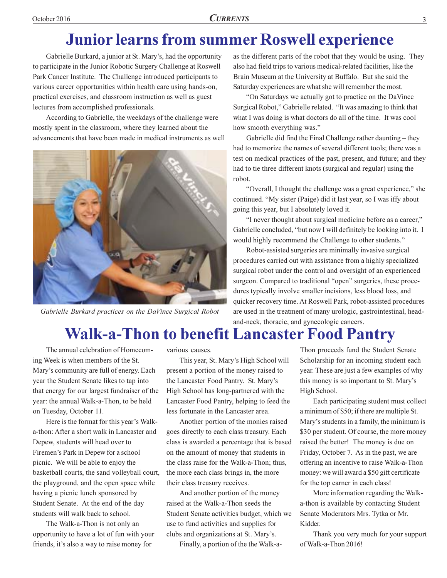## **Junior learns from summer Roswell experience**

Gabrielle Burkard, a junior at St. Mary's, had the opportunity to participate in the Junior Robotic Surgery Challenge at Roswell Park Cancer Institute. The Challenge introduced participants to various career opportunities within health care using hands-on, practical exercises, and classroom instruction as well as guest lectures from accomplished professionals.

According to Gabrielle, the weekdays of the challenge were mostly spent in the classroom, where they learned about the advancements that have been made in medical instruments as well



Gabrielle Burkard practices on the DaVince Surgical Robot

as the different parts of the robot that they would be using. They also had field trips to various medical-related facilities, like the Brain Museum at the University at Buffalo. But she said the Saturday experiences are what she will remember the most.

"On Saturdays we actually got to practice on the DaVince" Surgical Robot," Gabrielle related. "It was amazing to think that what I was doing is what doctors do all of the time. It was cool how smooth everything was."

Gabrielle did find the Final Challenge rather daunting – they had to memorize the names of several different tools; there was a test on medical practices of the past, present, and future; and they had to tie three different knots (surgical and regular) using the robot.

"Overall, I thought the challenge was a great experience," she continued. "My sister (Paige) did it last year, so I was iffy about going this year, but I absolutely loved it.

"I never thought about surgical medicine before as a career," Gabrielle concluded, "but now I will definitely be looking into it. I would highly recommend the Challenge to other students."

Robot-assisted surgeries are minimally invasive surgical procedures carried out with assistance from a highly specialized surgical robot under the control and oversight of an experienced surgeon. Compared to traditional "open" surgeries, these procedures typically involve smaller incisions, less blood loss, and quicker recovery time. At Roswell Park, robot-assisted procedures are used in the treatment of many urologic, gastrointestinal, headand-neck, thoracic, and gynecologic cancers.

## **Walk-a-Thon to benefit Lancaster Food Pantry**

The annual celebration of Homecoming Week is when members of the St. Mary's community are full of energy. Each year the Student Senate likes to tap into that energy for our largest fundraiser of the year: the annual Walk-a-Thon, to be held on Tuesday, October 11.

Here is the format for this year's Walka-thon: After a short walk in Lancaster and Depew, students will head over to Firemen's Park in Depew for a school picnic. We will be able to enjoy the basketball courts, the sand volleyball court, the playground, and the open space while having a picnic lunch sponsored by Student Senate. At the end of the day students will walk back to school.

The Walk-a-Thon is not only an opportunity to have a lot of fun with your friends, it's also a way to raise money for

various causes.

This year, St. Mary's High School will present a portion of the money raised to the Lancaster Food Pantry. St. Mary's High School has long-partnered with the Lancaster Food Pantry, helping to feed the less fortunate in the Lancaster area.

Another portion of the monies raised goes directly to each class treasury. Each class is awarded a percentage that is based on the amount of money that students in the class raise for the Walk-a-Thon; thus, the more each class brings in, the more their class treasury receives.

And another portion of the money raised at the Walk-a-Thon seeds the Student Senate activities budget, which we use to fund activities and supplies for clubs and organizations at St. Mary's.

Finally, a portion of the the Walk-a-

Thon proceeds fund the Student Senate Scholarship for an incoming student each year. These are just a few examples of why this money is so important to St. Mary's High School.

Each participating student must collect a minimum of \$50; if there are multiple St. Mary's students in a family, the minimum is \$30 per student. Of course, the more money raised the better! The money is due on Friday, October 7. As in the past, we are offering an incentive to raise Walk-a-Thon money: we will award a \$50 gift certificate for the top earner in each class!

More information regarding the Walka-thon is available by contacting Student Senate Moderators Mrs. Tytka or Mr. Kidder.

Thank you very much for your support of Walk-a-Thon 2016!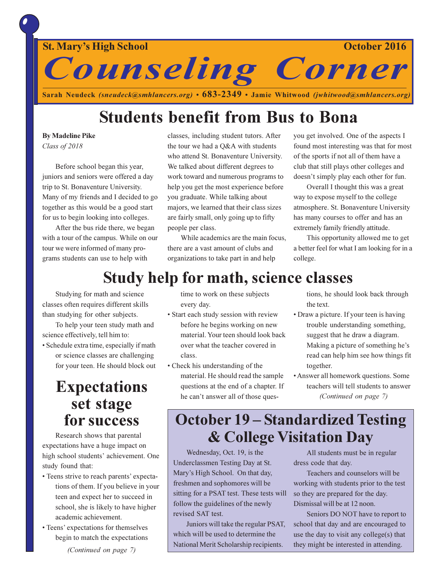

Sarah Neudeck (sneudeck@smhlancers.org) •  $683-2349$  • Jamie Whitwood (jwhitwood@smhlancers.org)

## **Students benefit from Bus to Bona**

### **By Madeline Pike**

Class of 2018

Before school began this year, juniors and seniors were offered a day trip to St. Bonaventure University. Many of my friends and I decided to go together as this would be a good start for us to begin looking into colleges.

After the bus ride there, we began with a tour of the campus. While on our tour we were informed of many programs students can use to help with

classes, including student tutors. After the tour we had a Q&A with students who attend St. Bonaventure University. We talked about different degrees to work toward and numerous programs to help you get the most experience before you graduate. While talking about majors, we learned that their class sizes are fairly small, only going up to fifty people per class.

While academics are the main focus, there are a vast amount of clubs and organizations to take part in and help

you get involved. One of the aspects I found most interesting was that for most of the sports if not all of them have a club that still plays other colleges and doesn't simply play each other for fun.

Overall I thought this was a great way to expose myself to the college atmosphere. St. Bonaventure University has many courses to offer and has an extremely family friendly attitude.

This opportunity allowed me to get a better feel for what I am looking for in a college.

## **Study help for math, science classes**

Studying for math and science classes often requires different skills than studying for other subjects.

To help your teen study math and science effectively, tell him to:

· Schedule extra time, especially if math or science classes are challenging for your teen. He should block out

### **Expectations** set stage for success

Research shows that parental expectations have a huge impact on high school students' achievement. One study found that:

- Teens strive to reach parents' expectations of them. If you believe in your teen and expect her to succeed in school, she is likely to have higher academic achievement.
- Teens' expectations for themselves begin to match the expectations (Continued on page 7)

time to work on these subjects every day.

- Start each study session with review before he begins working on new material. Your teen should look back over what the teacher covered in class.
- Check his understanding of the material. He should read the sample questions at the end of a chapter. If he can't answer all of those ques-

tions, he should look back through the text.

- Draw a picture. If your teen is having trouble understanding something, suggest that he draw a diagram. Making a picture of something he's read can help him see how things fit together.
- Answer all homework questions. Some teachers will tell students to answer (Continued on page 7)

### **October 19 – Standardized Testing & College Visitation Day**

Wednesday, Oct. 19, is the Underclassmen Testing Day at St. Mary's High School. On that day, freshmen and sophomores will be sitting for a PSAT test. These tests will follow the guidelines of the newly revised SAT test.

Juniors will take the regular PSAT, which will be used to determine the National Merit Scholarship recipients.

All students must be in regular dress code that day.

Teachers and counselors will be working with students prior to the test so they are prepared for the day. Dismissal will be at 12 noon.

Seniors DO NOT have to report to school that day and are encouraged to use the day to visit any college(s) that they might be interested in attending.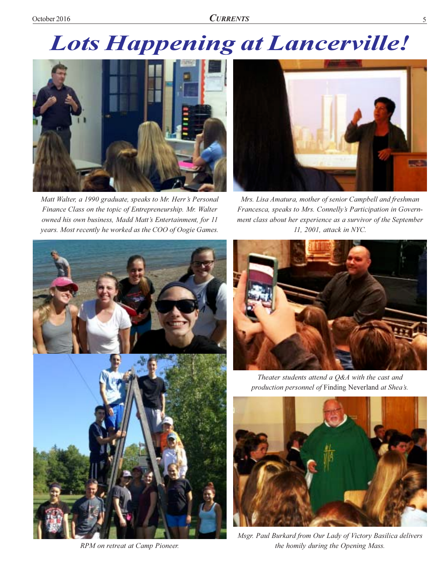# **Lots Happening at Lancerville!**



Matt Walter, a 1990 graduate, speaks to Mr. Herr's Personal Finance Class on the topic of Entrepreneurship. Mr. Walter owned his own business, Madd Matt's Entertainment, for 11 years. Most recently he worked as the COO of Oogie Games.



Mrs. Lisa Amatura, mother of senior Campbell and freshman Francesca, speaks to Mrs. Connelly's Participation in Government class about her experience as a survivor of the September 11, 2001, attack in NYC.



RPM on retreat at Camp Pioneer.



Theater students attend a Q&A with the cast and production personnel of Finding Neverland at Shea's.



Msgr. Paul Burkard from Our Lady of Victory Basilica delivers the homily during the Opening Mass.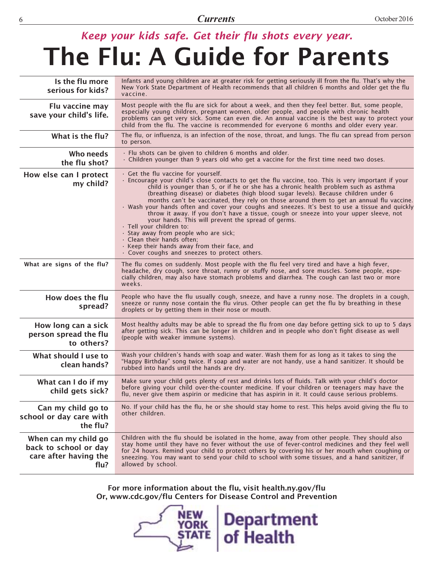### **Currents**

# Keep your kids safe. Get their flu shots every year. The Flu: A Guide for Parents

| Is the flu more<br>serious for kids?                                           | Infants and young children are at greater risk for getting seriously ill from the flu. That's why the<br>New York State Department of Health recommends that all children 6 months and older get the flu<br>vaccine.                                                                                                                                                                                                                                                                                                                                                                                                                                                                                                                                                                                                                                                                            |  |  |  |
|--------------------------------------------------------------------------------|-------------------------------------------------------------------------------------------------------------------------------------------------------------------------------------------------------------------------------------------------------------------------------------------------------------------------------------------------------------------------------------------------------------------------------------------------------------------------------------------------------------------------------------------------------------------------------------------------------------------------------------------------------------------------------------------------------------------------------------------------------------------------------------------------------------------------------------------------------------------------------------------------|--|--|--|
| Flu vaccine may<br>save your child's life.                                     | Most people with the flu are sick for about a week, and then they feel better. But, some people,<br>especially young children, pregnant women, older people, and people with chronic health<br>problems can get very sick. Some can even die. An annual vaccine is the best way to protect your<br>child from the flu. The vaccine is recommended for everyone 6 months and older every year.                                                                                                                                                                                                                                                                                                                                                                                                                                                                                                   |  |  |  |
| What is the flu?                                                               | The flu, or influenza, is an infection of the nose, throat, and lungs. The flu can spread from person<br>to person.                                                                                                                                                                                                                                                                                                                                                                                                                                                                                                                                                                                                                                                                                                                                                                             |  |  |  |
| Who needs<br>the flu shot?                                                     | $\cdot$ Flu shots can be given to children 6 months and older.<br>. Children younger than 9 years old who get a vaccine for the first time need two doses.                                                                                                                                                                                                                                                                                                                                                                                                                                                                                                                                                                                                                                                                                                                                      |  |  |  |
| How else can I protect<br>my child?                                            | $\cdot$ Get the flu vaccine for yourself.<br>· Encourage your child's close contacts to get the flu vaccine, too. This is very important if your<br>child is younger than 5, or if he or she has a chronic health problem such as asthma<br>(breathing disease) or diabetes (high blood sugar levels). Because children under 6<br>months can't be vaccinated, they rely on those around them to get an annual flu vaccine.<br>· Wash your hands often and cover your coughs and sneezes. It's best to use a tissue and quickly<br>throw it away. If you don't have a tissue, cough or sneeze into your upper sleeve, not<br>your hands. This will prevent the spread of germs.<br>· Tell your children to:<br>· Stay away from people who are sick;<br>$\cdot$ Clean their hands often:<br>$\cdot$ Keep their hands away from their face, and<br>· Cover coughs and sneezes to protect others. |  |  |  |
| What are signs of the flu?                                                     | The flu comes on suddenly. Most people with the flu feel very tired and have a high fever,<br>headache, dry cough, sore throat, runny or stuffy nose, and sore muscles. Some people, espe-<br>cially children, may also have stomach problems and diarrhea. The cough can last two or more<br>weeks.                                                                                                                                                                                                                                                                                                                                                                                                                                                                                                                                                                                            |  |  |  |
| How does the flu<br>spread?                                                    | People who have the flu usually cough, sneeze, and have a runny nose. The droplets in a cough,<br>sneeze or runny nose contain the flu virus. Other people can get the flu by breathing in these<br>droplets or by getting them in their nose or mouth.                                                                                                                                                                                                                                                                                                                                                                                                                                                                                                                                                                                                                                         |  |  |  |
| How long can a sick<br>person spread the flu<br>to others?                     | Most healthy adults may be able to spread the flu from one day before getting sick to up to 5 days<br>after getting sick. This can be longer in children and in people who don't fight disease as well<br>(people with weaker immune systems).                                                                                                                                                                                                                                                                                                                                                                                                                                                                                                                                                                                                                                                  |  |  |  |
| What should I use to<br>clean hands?                                           | Wash your children's hands with soap and water. Wash them for as long as it takes to sing the<br>"Happy Birthday" song twice. If soap and water are not handy, use a hand sanitizer. It should be<br>rubbed into hands until the hands are dry.                                                                                                                                                                                                                                                                                                                                                                                                                                                                                                                                                                                                                                                 |  |  |  |
| What can I do if my<br>child gets sick?                                        | Make sure your child gets plenty of rest and drinks lots of fluids. Talk with your child's doctor<br>before giving your child over-the-counter medicine. If your children or teenagers may have the<br>flu, never give them aspirin or medicine that has aspirin in it. It could cause serious problems.                                                                                                                                                                                                                                                                                                                                                                                                                                                                                                                                                                                        |  |  |  |
| Can my child go to<br>school or day care with<br>the flu?                      | No. If your child has the flu, he or she should stay home to rest. This helps avoid giving the flu to<br>other children.                                                                                                                                                                                                                                                                                                                                                                                                                                                                                                                                                                                                                                                                                                                                                                        |  |  |  |
| When can my child go<br>back to school or day<br>care after having the<br>flu? | Children with the flu should be isolated in the home, away from other people. They should also<br>stay home until they have no fever without the use of fever-control medicines and they feel well<br>for 24 hours. Remind your child to protect others by covering his or her mouth when coughing or<br>sneezing. You may want to send your child to school with some tissues, and a hand sanitizer, if<br>allowed by school.                                                                                                                                                                                                                                                                                                                                                                                                                                                                  |  |  |  |

For more information about the flu, visit health.ny.gov/flu Or, www.cdc.gov/flu Centers for Disease Control and Prevention

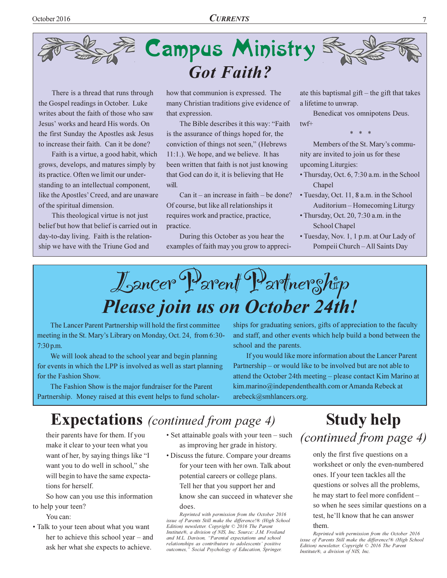

There is a thread that runs through the Gospel readings in October. Luke writes about the faith of those who saw Jesus' works and heard His words. On the first Sunday the Apostles ask Jesus to increase their faith. Can it be done?

Faith is a virtue, a good habit, which grows, develops, and matures simply by its practice. Often we limit our understanding to an intellectual component, like the Apostles' Creed, and are unaware of the spiritual dimension.

This theological virtue is not just belief but how that belief is carried out in day-to-day living. Faith is the relationship we have with the Triune God and

how that communion is expressed. The many Christian traditions give evidence of that expression.

The Bible describes it this way: "Faith is the assurance of things hoped for, the conviction of things not seen," (Hebrews  $11:1.$ ). We hope, and we believe. It has been written that faith is not just knowing that God can do it, it is believing that He will.

Can it – an increase in faith – be done? Of course, but like all relationships it requires work and practice, practice, practice.

During this October as you hear the examples of faith may you grow to appreciate this baptismal gift  $-$  the gift that takes a lifetime to unwrap.

Benedicat vos omnipotens Deus.  $twf+$ 

 $*$  \*

Members of the St. Mary's community are invited to join us for these upcoming Liturgies:

- Thursday, Oct. 6, 7:30 a.m. in the School Chapel
- Tuesday, Oct. 11, 8 a.m. in the School Auditorium – Homecoming Liturgy

• Thursday, Oct. 20, 7:30 a.m. in the **School Chapel** 

• Tuesday, Nov. 1, 1 p.m. at Our Lady of Pompeii Church-All Saints Day

Lancer Parent Partnership Please join us on October 24th!

The Lancer Parent Partnership will hold the first committee meeting in the St. Mary's Library on Monday, Oct. 24, from 6:30-7:30 p.m.

We will look ahead to the school year and begin planning for events in which the LPP is involved as well as start planning for the Fashion Show.

The Fashion Show is the major fundraiser for the Parent Partnership. Money raised at this event helps to fund scholarships for graduating seniors, gifts of appreciation to the faculty and staff, and other events which help build a bond between the school and the parents.

If you would like more information about the Lancer Parent Partnership – or would like to be involved but are not able to attend the October 24th meeting - please contact Kim Marino at kim.marino@independenthealth.com or Amanda Rebeck at arebeck@smhlancers.org.

### **Expectations** (continued from page 4)

their parents have for them. If you make it clear to your teen what you want of her, by saying things like "I want you to do well in school," she will begin to have the same expectations for herself.

So how can you use this information to help your teen?

- You can:
- Talk to your teen about what you want her to achieve this school year – and ask her what she expects to achieve.
- Set attainable goals with your teen such as improving her grade in history.
- Discuss the future. Compare your dreams for your teen with her own. Talk about potential careers or college plans. Tell her that you support her and

know she can succeed in whatever she does.

Reprinted with permission from the October 2016 issue of Parents Still make the difference!® (High School Edition) newsletter. Copyright © 2016 The Parent Institute®, a division of NIS, Inc. Source: J.M. Froiland and M.L. Davison, "Parental expectations and school relationships as contributors to adolescents' positive outcomes," Social Psychology of Education, Springer.

**Study help** *(continued from page 4)* 

only the first five questions on a worksheet or only the even-numbered ones. If your teen tackles all the questions or solves all the problems, he may start to feel more confident so when he sees similar questions on a test, he'll know that he can answer them.

Reprinted with permission from the October 2016 issue of Parents Still make the difference!® (High School Edition) newsletter. Copyright © 2016 The Parent Institute®, a division of NIS, Inc.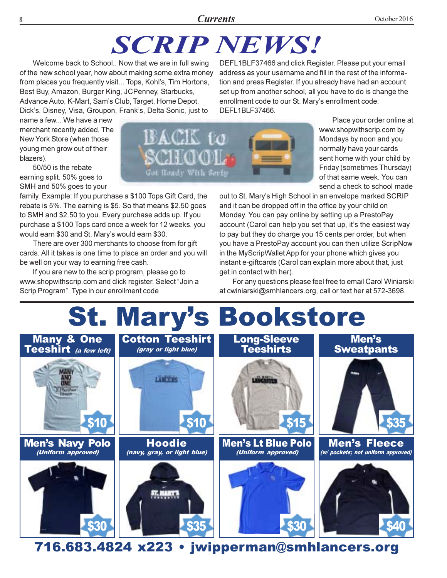### **Currents**

# **SCRIP NEWS!**

Welcome back to School.. Now that we are in full swing of the new school year, how about making some extra money from places you frequently visit... Tops, Kohl's, Tim Hortons, Best Buy, Amazon, Burger King, JCPenney, Starbucks, Advance Auto, K-Mart, Sam's Club, Target, Home Depot, Dick's, Disney, Visa, Groupon, Frank's, Delta Sonic, just to

DEFL1BLF37466 and click Register. Please put your email address as your username and fill in the rest of the information and press Register. If you already have had an account set up from another school, all you have to do is change the enrollment code to our St. Mary's enrollment code: DEFL1BLF37466.

name a few... We have a new merchant recently added. The New York Store (when those young men grow out of their blazers).

50/50 is the rebate earning split. 50% goes to SMH and 50% goes to your

family. Example: If you purchase a \$100 Tops Gift Card, the rebate is 5%. The earning is \$5. So that means \$2.50 goes to SMH and \$2.50 to you. Every purchase adds up. If you purchase a \$100 Tops card once a week for 12 weeks, you would earn \$30 and St. Mary's would earn \$30.

There are over 300 merchants to choose from for gift cards. All it takes is one time to place an order and you will be well on your way to earning free cash.

If you are new to the scrip program, please go to www.shopwithscrip.com and click register. Select "Join a Scrip Program". Type in our enrollment code



Place your order online at www.shopwithscrip.com by Mondays by noon and you normally have your cards sent home with your child by Friday (sometimes Thursday) of that same week. You can send a check to school made

out to St. Mary's High School in an envelope marked SCRIP and it can be dropped off in the office by your child on Monday. You can pay online by setting up a PrestoPay account (Carol can help you set that up, it's the easiest way to pay but they do charge you 15 cents per order, but when you have a PrestoPay account you can then utilize ScripNow in the MyScripWallet App for your phone which gives you instant e-giftcards (Carol can explain more about that, just get in contact with her).

For any questions please feel free to email Carol Winiarski at cwiniarski@smhlancers.org, call or text her at 572-3698.



716.683.4824 x223 · jwipperman@smhlancers.org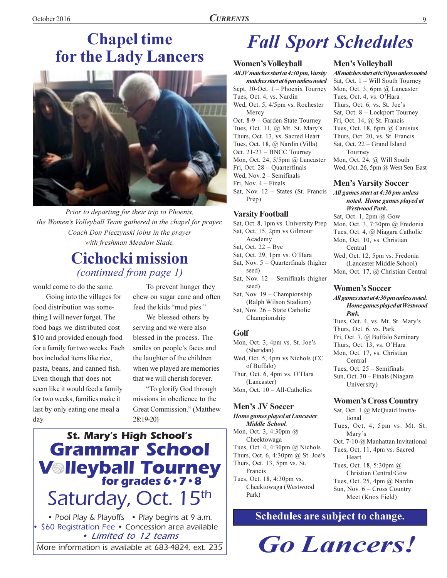## **Chapel time** for the Lady Lancers



Prior to departing for their trip to Phoenix, the Women's Volleyball Team gathered in the chapel for prayer. Coach Don Pieczynski joins in the prayer with freshman Meadow Slade.

### **Cichocki mission** *(continued from page 1)*

would come to do the same.

Going into the villages for food distribution was something I will never forget. The food bags we distributed cost \$10 and provided enough food for a family for two weeks. Each box included items like rice, pasta, beans, and canned fish. Even though that does not seem like it would feed a family for two weeks, families make it last by only eating one meal a day.

To prevent hunger they chew on sugar cane and often feed the kids "mud pies."

We blessed others by serving and we were also blessed in the process. The smiles on people's faces and the laughter of the children when we played are memories that we will cherish forever.

"To glorify God through missions in obedience to the Great Commission." (Matthew 28:19-20)

## **St. Mary's High School's Grammar School V**Ileyball Tourney Saturday, Oct. 15th

• Pool Play & Playoffs • Play begins at 9 a.m. \$60 Registration Fee • Concession area available • Limited to 12 teams

More information is available at 683-4824, ext. 235

# **Fall Sport Schedules**

### **Women's Volleyball**

All JV matches start at 4:30 pm, Varsity matches start at 6 pm unless noted Sept. 30-Oct. 1 - Phoenix Tourney Tues, Oct. 4, vs. Nardin Wed, Oct. 5, 4/5pm vs. Rochester Mercy Oct. 8-9 - Garden State Tourney Tues, Oct. 11, @ Mt. St. Mary's Thurs, Oct. 13, vs. Sacred Heart Tues, Oct. 18, @ Nardin (Villa) Oct. 21-23 - BNCC Tourney Mon, Oct. 24, 5/5pm @ Lancaster Fri, Oct. 28 - Quarterfinals Wed, Nov.  $2 -$  Semifinals Fri. Nov.  $4$  – Finals Sat, Nov. 12 - States (St. Francis Prep)

### **Varsity Football**

- Sat, Oct. 8, 1pm vs. University Prep
- Sat, Oct. 15, 2pm vs Gilmour Academy
- Sat, Oct.  $22 Bye$
- Sat, Oct. 29, 1pm vs. O'Hara
- Sat, Nov.  $5 -$ Quarterfinals (higher
- seed) Sat, Nov.  $12$  – Semifinals (higher seed)
- Sat, Nov.  $19$  Championship (Ralph Wilson Stadium)
- Sat, Nov. 26 State Catholic Championship

#### Golf

Mon, Oct. 3, 4pm vs. St. Joe's (Sheridan) Wed, Oct. 5, 4pm vs Nichols (CC of Buffalo) Thur, Oct. 6, 4pm vs. O'Hara (Lancaster) Mon, Oct.  $10 - All-Catholics$ 

### **Men's JV Soccer**

Home games played at Lancaster Middle School. Mon, Oct. 3, 4:30pm @ Cheektowaga Tues, Oct. 4, 4:30pm @ Nichols Thurs, Oct. 6, 4:30pm @ St. Joe's Thurs, Oct. 13, 5pm vs. St. Francis Tues, Oct. 18, 4:30pm vs. Cheektowaga (Westwood Park)

### **Men's Volleyball**

All matches start at 6:30 pm unless noted Sat, Oct. 1 - Will South Tourney Mon, Oct. 3, 6pm @ Lancaster Tues, Oct. 4, vs. O'Hara Thurs, Oct. 6, vs. St. Joe's Sat, Oct. 8 - Lockport Tourney Fri, Oct. 14, @ St. Francis Tues, Oct. 18, 6pm @ Canisius Thurs, Oct. 20, vs. St. Francis Sat, Oct. 22 - Grand Island Tourney Mon, Oct. 24, @ Will South Wed, Oct. 26, 5pm @ West Sen East

### **Men's Varsity Soccer**

All games start at 4:30 pm unless noted. Home games played at **Westwood Park.** 

Sat, Oct. 1, 2pm @ Gow Mon, Oct. 3, 7:30pm @ Fredonia Tues, Oct. 4, @ Niagara Catholic Mon, Oct. 10, vs. Christian

Central Wed, Oct. 12, 5pm vs. Fredonia (Lancaster Middle School) Mon, Oct. 17, @ Christian Central

#### **Women's Soccer**

All games start at 4:30 pm unless noted. Home games played at Westwood Park. Tues, Oct. 4, vs. Mt. St. Mary's Thurs, Oct. 6, vs. Park

Fri, Oct. 7, @ Buffalo Seminary

Thurs, Oct. 13, vs. O'Hara Mon, Oct. 17, vs. Christian Central Tues, Oct. 25 - Semifinals Sun, Oct. 30 - Finals (Niagara

University)

### **Women's Cross Country**

Sat, Oct. 1 @ McQuaid Invitational Tues, Oct. 4, 5pm vs. Mt. St. Mary's Oct. 7-10 @ Manhattan Invitational Tues, Oct. 11, 4pm vs. Sacred Heart Tues, Oct. 18, 5:30pm @ Christian Central/Gow Tues, Oct. 25, 4pm @ Nardin Sun, Nov. 6 - Cross Country Meet (Knox Field)

### Schedules are subject to change.

**Go Lancers!**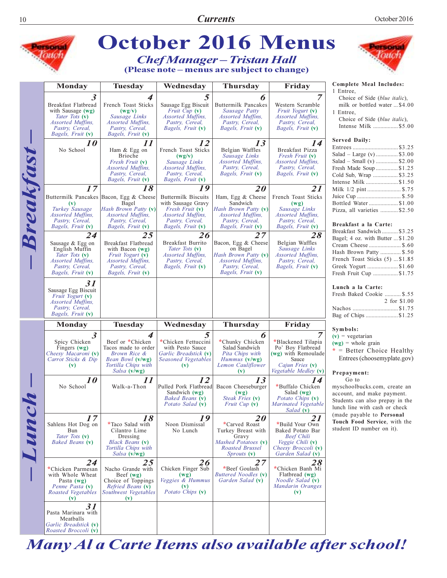|                                                                                   |                                                                                                                                       | <b>October 2016 Menus</b>                                                                                                                                 |                                                                                                                                                      |                                                                                                                                   |                                                                                                                                      |                                                                                                                                                                                                                                                                                                                                |  |  |  |
|-----------------------------------------------------------------------------------|---------------------------------------------------------------------------------------------------------------------------------------|-----------------------------------------------------------------------------------------------------------------------------------------------------------|------------------------------------------------------------------------------------------------------------------------------------------------------|-----------------------------------------------------------------------------------------------------------------------------------|--------------------------------------------------------------------------------------------------------------------------------------|--------------------------------------------------------------------------------------------------------------------------------------------------------------------------------------------------------------------------------------------------------------------------------------------------------------------------------|--|--|--|
| <b>Chef Manager - Tristan Hall</b><br>(Please note – menus are subject to change) |                                                                                                                                       |                                                                                                                                                           |                                                                                                                                                      |                                                                                                                                   |                                                                                                                                      |                                                                                                                                                                                                                                                                                                                                |  |  |  |
|                                                                                   | <b>Monday</b>                                                                                                                         | <b>Tuesday</b>                                                                                                                                            | Wednesday                                                                                                                                            | <b>Thursday</b>                                                                                                                   | Friday                                                                                                                               | Complete Meal Includes:                                                                                                                                                                                                                                                                                                        |  |  |  |
| Breakfast                                                                         | 3<br>Breakfast Flatbread<br>with Sausage $(wg)$<br>Tater Tots (v)<br><i>Assorted Muffins,</i><br>Pastry, Cereal,<br>Bagels, Fruit (v) | 4<br>French Toast Sticks<br>(wg/v)<br>Sausage Links<br>Assorted Muffins,<br>Pastry, Cereal,<br>Bagels, Fruit (v)                                          | 5<br>Sausage Egg Biscuit<br><i>Fruit Cup</i> (v)<br>Assorted Muffins,<br>Pastry, Cereal,<br>Bagels, Fruit (v)                                        | 6<br>Buttermilk Pancakes<br>Sausage Patty<br><i>Assorted Muffins,</i><br>Pastry, Cereal,<br>Bagels, Fruit (v)                     | Western Scramble<br>Fruit Yogurt (v)<br><i>Assorted Muffins,</i><br>Pastry, Cereal,<br>Bagels, Fruit (v)                             | 1 Entree,<br>Choice of Side (blue italic),<br>milk or bottled water \$4.00<br>1 Entree.<br>Choice of Side (blue italic),<br>Intense Milk \$5.00<br><b>Served Daily:</b><br>Entrees\$3.25<br>Salad - Large (v)  \$3.00<br>Salad – Small (v)  \$2.00<br>Fresh Made Soup  \$1.25<br>Cold Sub, Wrap  \$3.25<br>Intense Milk \$1.50 |  |  |  |
|                                                                                   | <i>10</i><br>No School                                                                                                                | 11<br>Ham & Egg on<br><b>Brioche</b><br>Fresh Fruit (v)<br>Assorted Muffins,<br>Pastry, Cereal,<br>Bagels, Fruit (v)                                      | 12<br>French Toast Sticks<br>(wg/v)<br>Sausage Links<br>Assorted Muffins,<br>Pastry, Cereal,<br>Bagels, Fruit (v)                                    | 13<br>Belgian Waffles<br>Sausage Links<br>Assorted Muffins,<br>Pastry, Cereal,<br>Bagels, Fruit (v)                               | 14<br>Breakfast Pizza<br>Fresh Fruit (v)<br>Assorted Muffins,<br>Pastry, Cereal,<br><i>Bagels, Fruit</i> (v)                         |                                                                                                                                                                                                                                                                                                                                |  |  |  |
|                                                                                   | 17<br>(v)<br>Turkey Sausage<br><b>Assorted Muffins.</b><br>Pastry, Cereal,<br>Bagels, Fruit (v)                                       | 18<br>Buttermilk Pancakes Bacon, Egg & Cheese<br>Bagel<br><i>Hash Brown Patty</i> (v)<br><b>Assorted Muffins,</b><br>Pastry, Cereal,<br>Bagels, Fruit (v) | 19<br><b>Buttermilk Biscuits</b><br>with Sausage Gravy<br><i>Fresh Fruit</i> (v)<br><b>Assorted Muffins.</b><br>Pastry, Cereal,<br>Bagels, Fruit (v) | 20<br>Ham, Egg & Cheese<br>Sandwich<br>Hash Brown Patty (v)<br><i>Assorted Muffins,</i><br>Pastry, Cereal,<br>Bagels, Fruit (v)   | 21<br>French Toast Sticks<br>(wg)<br>Sausage Links<br><i>Assorted Muffins,</i><br>Pastry, Cereal,<br>Bagels, Fruit (v)               | Milk 1/2 pint  \$.75<br>Juice Cup  \$.50<br>Bottled Water \$1.00<br>Pizza, all varieties \$2.50<br>Breakfast a la Carte:                                                                                                                                                                                                       |  |  |  |
|                                                                                   | 24<br>Sausage & Egg on<br>English Muffin<br>Tater Tots (v)<br><i>Assorted Muffins,</i><br>Pastry, Cereal,<br>Bagels, Fruit (v)        | 25<br>Breakfast Flatbread<br>with Bacon $(wg)$<br>Fruit Yogurt (v)<br><i>Assorted Muffins,</i><br>Pastry, Cereal,<br>Bagels, Fruit (v)                    | 26<br>Breakfast Burrito<br>Tater Tots (v)<br><i>Assorted Muffins,</i><br>Pastry, Cereal,<br>Bagels, Fruit (v)                                        | 27<br>Bacon, Egg & Cheese<br>on Bagel<br>Hash Brown Patty (v)<br><i>Assorted Muffins,</i><br>Pastry, Cereal,<br>Bagels, Fruit (v) | 28<br>Belgian Waffles<br>Sausage Links<br><i>Assorted Muffins,</i><br>Pastry, Cereal,<br>Bagels, Fruit (v)                           | Breakfast Sandwich  \$3.25<br>Bagel; 4 oz. with Butter  \$1.20<br>Cream Cheese  \$.60<br>Hash Brown Patty  \$.50<br>French Toast Sticks (5)  \$1.85<br>Greek Yogurt \$1.60<br>Fresh Fruit Cup \$1.75                                                                                                                           |  |  |  |
|                                                                                   | 31<br>Sausage Egg Biscuit<br>Fruit Yogurt (v)<br>Assorted Muffins,<br>Pastry, Cereal,<br>Bagels, Fruit (v)                            |                                                                                                                                                           |                                                                                                                                                      |                                                                                                                                   |                                                                                                                                      | Lunch a la Carte:<br>Fresh Baked Cookie  \$.55<br>2 for \$1.00<br>Bag of Chips \$1.25                                                                                                                                                                                                                                          |  |  |  |
|                                                                                   | Monday                                                                                                                                | <b>Tuesday</b>                                                                                                                                            | Wednesday                                                                                                                                            | <b>Thursday</b>                                                                                                                   | Friday                                                                                                                               | Symbols:                                                                                                                                                                                                                                                                                                                       |  |  |  |
| Junch                                                                             | $\boldsymbol{\beta}$<br>Spicy Chicken<br>Fingers $(wg)$<br>Cheesy Macaroni (v)<br>Carrot Sticks & Dip<br>(v)                          | 4<br>Beef or *Chicken<br>Tacos made to order<br>Brown Rice &<br>Bean Bowl (v/wg)<br>Tortilla Chips with<br>Salsa (v/wg)                                   | 5<br>*Chicken Fettuccini<br>with Pesto Sauce<br>Garlic Breadstick (v)<br>Seasoned Vegetables<br>$(\mathbf{v})$                                       | 6<br>*Chunky Chicken<br>Salad Sandwich<br>Pita Chips with<br><i>Hummus</i> (V/Wg)<br>Lemon Cauliflower<br>(v)                     | *Blackened Tilapia<br>Po' Boy Flatbread<br>(wg) with Remoulade<br>Sauce<br>Cajun Fries (v)<br>Vegetable Medley (v)                   | $(v)$ = vegetarian<br>$(wg)$ = whole grain<br>$*$ = Better Choice Healthy<br>Entrees (choosemyplate.gov)<br>Prepayment:                                                                                                                                                                                                        |  |  |  |
|                                                                                   | <i>10</i><br>No School                                                                                                                | 11<br>Walk-a-Thon                                                                                                                                         | 12<br>Pulled Pork Flatbread<br>Sandwich $(wg)$<br>Baked Beans (v)<br>Potato Salad (v)                                                                | 13<br>Bacon Cheeseburger<br>(wg)<br>Steak Fries (v)<br><i>Fruit Cup</i> $(v)$                                                     | 14<br>*Buffalo Chicken<br>Salad $(wg)$<br>Potato Chips (v)<br>Marinated Vegetable<br>Salad (v)                                       | Go to<br>myschoolbucks.com, create an<br>account, and make payment.<br>Students can also prepay in the<br>lunch line with cash or check                                                                                                                                                                                        |  |  |  |
|                                                                                   | 17<br>Sahlens Hot Dog on<br>Bun<br>Tater Tots (v)<br>Baked Beans (v)                                                                  | 18<br>*Taco Salad with<br>Cilantro Lime<br>Dressing<br><b>Black Beans</b> (v)<br>Tortilla Chips with<br>Salsa (v/wg)                                      | 19<br>Noon Dismissal<br>No Lunch                                                                                                                     | <i>20</i><br>*Carved Roast<br>Turkey Breast with<br>Gravy<br>Mashed Potatoes (v)<br>Roasted Brussel<br><i>Sprouts</i> (v)         | 21<br>*Build Your Own<br>Baked Potato Bar<br><b>Beef Chili</b><br><i>Veggie Chili</i> (v)<br>Cheesy Broccoli (v)<br>Garden Salad (v) | (made payable to Personal<br>Touch Food Service, with the<br>student ID number on it).                                                                                                                                                                                                                                         |  |  |  |
|                                                                                   | 24<br>*Chicken Parmesan<br>with Whole Wheat<br>Pasta $(wg)$<br>Penne Pasta (v)<br>Roasted Vegetables<br>$(\mathbf{v})$                | 25<br>Nacho Grande with<br>Beef $(wg)$<br>Choice of Toppings<br>Refried Beans (v)<br>Southwest Vegetables<br>$(\mathbf{v})$                               | 26<br>Chicken Finger Sub<br>(wg)<br>Veggies & Hummus<br>$(\mathbf{v})$<br>Potato Chips (v)                                                           | 27<br>*Beef Goulash<br>Buttered Noodles (v)<br>Garden Salad (v)                                                                   | 28<br>*Chicken Banh Mi<br>Flatbread $(wg)$<br><i>Noodle Salad</i> (v)<br>Mandarin Oranges<br>(v)                                     |                                                                                                                                                                                                                                                                                                                                |  |  |  |
|                                                                                   | 31<br>Pasta Marinara with<br>Meatballs<br>Garlic Breadstick (v)<br>Roasted Broccoli (v)                                               |                                                                                                                                                           |                                                                                                                                                      |                                                                                                                                   |                                                                                                                                      |                                                                                                                                                                                                                                                                                                                                |  |  |  |

Many Al a Carte Items also available after school!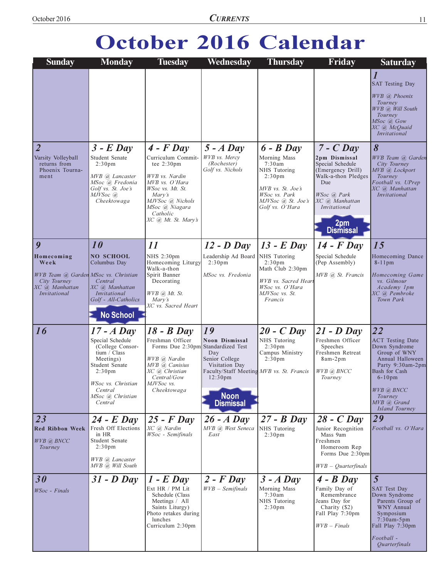# October 2016 Calendar

| <b>Sunday</b>                                                                                  | <b>Monday</b>                                                                                                                                                                             | <b>Tuesday</b>                                                                                                                                                                                         | Wednesday                                                                                                                                                                     | <b>Thursday</b>                                                                                                                                            | Friday                                                                                                                                               | <b>Saturday</b>                                                                                                                                                                                                                                                                                 |
|------------------------------------------------------------------------------------------------|-------------------------------------------------------------------------------------------------------------------------------------------------------------------------------------------|--------------------------------------------------------------------------------------------------------------------------------------------------------------------------------------------------------|-------------------------------------------------------------------------------------------------------------------------------------------------------------------------------|------------------------------------------------------------------------------------------------------------------------------------------------------------|------------------------------------------------------------------------------------------------------------------------------------------------------|-------------------------------------------------------------------------------------------------------------------------------------------------------------------------------------------------------------------------------------------------------------------------------------------------|
| $\overline{2}$<br>Varsity Volleyball<br>returns from<br>Phoenix Tourna-<br>ment                | $3$ - E Day<br>Student Senate<br>2:30 <sub>pm</sub><br>MVB @ Lancaster<br>MSoc @ Fredonia<br>Golf vs. St. Joe's<br>MJVSoc @<br>Cheektowaga                                                | $4$ - $F$ Day<br>Curriculum Commit-<br>tee $2:30 \text{pm}$<br>WVB vs. Nardin<br>MVB vs. O'Hara<br>WSoc vs. Mt. St.<br>Mary's<br>MJVSoc @ Nichols<br>MSoc @ Niagara<br>Catholic<br>XC @ Mt. St. Mary's | $5 - A$ Day<br>WVB vs. Mercv<br>(Rochester)<br>Golf vs. Nichols                                                                                                               | $6 - B$ Day<br>Morning Mass<br>7:30am<br>NHS Tutoring<br>2:30 <sub>pm</sub><br>MVB vs. St. Joe's<br>WSoc vs. Park<br>MJVSoc @ St. Joe's<br>Golf vs. O'Hara | $7 - C$ Day<br>2pm Dismissal<br>Special Schedule<br>(Emergency Drill)<br>Walk-a-thon Pledges<br>Due<br>WSoc @ Park<br>XC @ Manhattan<br>Invitational | $\overline{l}$<br><b>SAT Testing Day</b><br>WVB @ Phoenix<br>Tourney<br>WVB @ Will South<br>Tourney<br>$MSoc$ $@$ $Gow$<br>XC @ McQuaid<br><i>Invitational</i><br>8<br>WVB Team (a) Garden<br>City Tourney<br>MVB @ Lockport<br>Tourney<br>Football vs. UPrep<br>XC @ Manhattan<br>Invitational |
|                                                                                                |                                                                                                                                                                                           |                                                                                                                                                                                                        |                                                                                                                                                                               |                                                                                                                                                            | 2pm<br><b>Dismissal</b>                                                                                                                              |                                                                                                                                                                                                                                                                                                 |
| 9                                                                                              | 10                                                                                                                                                                                        | 11                                                                                                                                                                                                     | $12$ - D Day                                                                                                                                                                  | $13$ - E Day                                                                                                                                               | $14$ - $F$ Day                                                                                                                                       | 15                                                                                                                                                                                                                                                                                              |
| Homecoming                                                                                     | <b>NO SCHOOL</b>                                                                                                                                                                          | NHS 2:30pm                                                                                                                                                                                             | Leadership Ad Board                                                                                                                                                           | NHS Tutoring                                                                                                                                               | Special Schedule                                                                                                                                     | Homecoming Dance                                                                                                                                                                                                                                                                                |
| Week<br>WVB Team @ Garden MSoc vs. Christian<br>City Tourney<br>XC @ Manhattan<br>Invitational | Columbus Day<br>Central<br>XC @ Manhattan<br>Invitational<br>Golf - All-Catholics<br><b>No School</b>                                                                                     | Homecoming Liturgy<br>Walk-a-thon<br>Spirit Banner<br>Decorating<br>$WVB$ ( <i>a</i> ) $Mt$ . St.<br>Mary's<br>XC vs. Sacred Heart                                                                     | 2:30 <sub>pm</sub><br>MSoc vs. Fredonia                                                                                                                                       | 2:30 <sub>pm</sub><br>Math Club 2:30pm<br>WVB vs. Sacred Hear<br>WSoc vs. O'Hara<br>MJVSoc vs. St.<br>Francis                                              | (Pep Assembly)<br>MVB @ St. Francis                                                                                                                  | $8-11$ pm<br>Homecoming Game<br>vs. Gilmour<br>Academy 1pm<br>XC @ Pembroke<br>Town Park                                                                                                                                                                                                        |
| 16                                                                                             | $17 - A$ Day<br>Special Schedule<br>(College Consor-<br>tium / Class<br>Meetings)<br>Student Senate<br>2:30 <sub>pm</sub><br>WSoc vs. Christian<br>Central<br>MSoc @ Christian<br>Central | $18 - B$ Day<br>Freshman Officer<br>Forms Due 2:30pm Standardized Test<br>WVB @ Nardin<br>MVB @ Canisius<br>XC @ Christian<br>Central/Gow<br>MJVSoc vs.<br>Cheektowaga                                 | 19<br><b>Noon Dismissal</b><br>Day<br>Senior College<br>Visitation Day<br>Faculty/Staff Meeting MVB vs. St. Francis<br>12:30 <sub>pm</sub><br><b>Noon</b><br><b>Dismissal</b> | $20 - C$ Day<br>NHS Tutoring<br>2:30 <sub>pm</sub><br>Campus Ministry<br>2:30 <sub>pm</sub>                                                                | $21 - D$ Day<br>Freshmen Officer<br>Speeches<br>Freshmen Retreat<br>8am-2pm<br>WVB @ BNCC<br>Tourney                                                 | 22<br><b>ACT</b> Testing Date<br>Down Syndrome<br>Group of WNY<br>Annual Halloween<br>Party 9:30am-2pm<br>Bash for Cash<br>$6 - 10$ pm<br>WVB @ BNCC<br>Tourney<br>MVB @ Grand<br>Island Tourney                                                                                                |
| $\boxed{23}$<br><b>Red Ribbon Week</b><br>$WVB$ ( <i>a</i> ) BNCC<br>Tourney                   | $24$ - E Day<br>Fresh Off Elections<br>in HR<br>Student Senate<br>2:30 <sub>pm</sub><br>WVB @ Lancaster<br>MVB @, Will South                                                              | $25$ - $F$ Day<br>XC @ Nardin<br>WSoc - Semifinals                                                                                                                                                     | $26 - A$ Day<br>MVB @ West Seneca<br>East                                                                                                                                     | $27 - B$ Day<br>NHS Tutoring<br>2:30 <sub>pm</sub>                                                                                                         | $28 - C$ Day<br>Junior Recognition<br>Mass 9am<br>Freshmen<br>Homeroom Rep<br>Forms Due 2:30pm<br>$WVB - Quarterly$                                  | 29<br>Football vs. O'Hara                                                                                                                                                                                                                                                                       |
| 30<br>WSoc - Finals                                                                            | $31 - D$ Day                                                                                                                                                                              | $1$ - E Day<br>Ext HR / PM Lit<br>Schedule (Class<br>Meetings / All<br>Saints Liturgy)<br>Photo retakes during<br>lunches<br>Curriculum 2:30pm                                                         | $2$ - $F$ Day<br>$WVB - Semifinals$                                                                                                                                           | $3 - A$ Day<br>Morning Mass<br>7:30am<br>NHS Tutoring<br>$2:30 \text{pm}$                                                                                  | $4 - B$ Day<br>Family Day of<br>Remembrance<br>Jeans Day for<br>Charity (\$2)<br>Fall Play 7:30pm<br>$WVB$ – Finals                                  | 5<br><b>SAT Test Day</b><br>Down Syndrome<br>Parents Group of<br><b>WNY Annual</b><br>Symposium<br>$7:30am-5pm$<br>Fall Play 7:30pm<br>$Football -$<br>Quarterfinals                                                                                                                            |